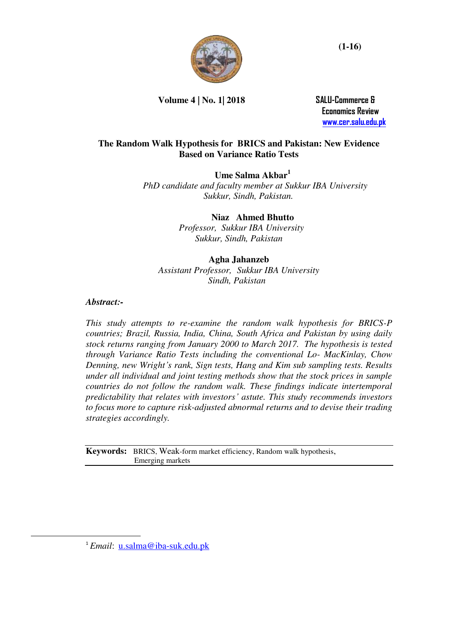

**Volume 4 | No. 1| 2018 SALU-Commerce &** 

 **Economics Review [www.cer.salu.edu.pk](http://www.cer.salu.edu.pk/)**

# **The Random Walk Hypothesis for BRICS and Pakistan: New Evidence Based on Variance Ratio Tests**

**Ume Salma Akbar<sup>1</sup>** *"PhD candidate and faculty member at Sukkur IBA University Sukkur, Sindh, Pakistan.* "

> **Niaz" Ahmed Bhutto**  *"Professor, Sukkur IBA University Sukkur, Sindh, Pakistan*

# **Agha Jahanzeb**  *Assistant Professor,"Sukkur IBA University Sindh, Pakistan*"

# *Abstract:-*

*This study attempts to re-examine the random walk hypothesis for BRICS-P countries; Brazil, Russia, India, China, South Africa and Pakistan by using daily stock returns ranging from January 2000 to March 2017. The hypothesis is tested through Variance Ratio Tests including the conventional Lo- MacKinlay, Chow Denning, new Wright's rank, Sign tests, Hang and Kim sub sampling tests. Results under all individual and joint testing methods show that the stock prices in sample countries do not follow the random walk. These findings indicate intertemporal predictability that relates with investors' astute. This study recommends investors to focus more to capture risk-adjusted abnormal returns and to devise their trading strategies accordingly.* 

Keywords: BRICS, Weak-form market efficiency, Random walk hypothesis, **Emerging markets.** 

 $\overline{a}$ 

<sup>&</sup>lt;sup>1</sup> *Email*: [u.salma@iba-suk.edu.pk](mailto:u.salma@iba-suk.edu.pk)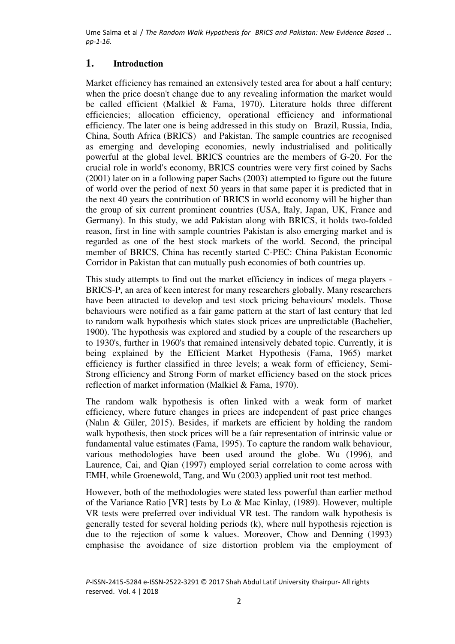# **1. Introduction"**

Market efficiency has remained an extensively tested area for about a half century; when the price doesn't change due to any revealing information the market would be called efficient (Malkiel & Fama, 1970). Literature holds three different efficiencies; allocation efficiency, operational efficiency and informational efficiency. The later one is being addressed in this study on "Brazil, Russia, India, China, South Africa (BRICS)" and Pakistan. The sample countries are recognised as emerging and developing economies, newly industrialised and politically powerful at the global level. BRICS countries are the members of G-20. For the crucial role in world's economy, BRICS countries were very first coined by Sachs (2001) later on in a following paper Sachs (2003) attempted to figure out the future of world over the period of next 50 years in that same paper it is predicted that in the next 40 years the contribution of BRICS in world economy will be higher than the group of six current prominent countries (USA, Italy, Japan, UK, France and Germany). In this study, we add Pakistan along with BRICS, it holds two-folded reason, first in line with sample countries Pakistan is also emerging market and is regarded as one of the best stock markets of the world. Second, the principal member of BRICS, China has recently started C-PEC: China Pakistan Economic Corridor in Pakistan that can mutually push economies of both countries up.

This study attempts to find out the market efficiency in indices of mega players - BRICS-P, an area of keen interest for many researchers globally. Many researchers have been attracted to develop and test stock pricing behaviours' models. Those behaviours were notified as a fair game pattern at the start of last century that led to random walk hypothesis which states stock prices are unpredictable (Bachelier, 1900). The hypothesis was explored and studied by a couple of the researchers up to 1930's, further in 1960's that remained intensively debated topic. Currently, it is being explained by the Efficient Market Hypothesis (Fama, 1965) market efficiency is further classified in three levels; a weak form of efficiency, Semi-Strong efficiency and Strong Form of market efficiency based on the stock prices reflection of market information (Malkiel & Fama, 1970).

The random walk hypothesis is often linked with a weak form of market efficiency, where future changes in prices are independent of past price changes (Nalın & Güler, 2015). Besides, if markets are efficient by holding the random walk hypothesis, then stock prices will be a fair representation of intrinsic value or fundamental value estimates (Fama, 1995). To capture the random walk behaviour, various methodologies have been used around the globe. Wu (1996), and Laurence, Cai, and Qian (1997) employed serial correlation to come across with EMH, while Groenewold, Tang, and Wu (2003) applied unit root test method.

However, both of the methodologies were stated less powerful than earlier method of the Variance Ratio [VR] tests by Lo & Mac Kinlay, (1989). However, multiple VR tests were preferred over individual VR test. The random walk hypothesis is generally tested for several holding periods (k), where null hypothesis rejection is due to the rejection of some k values. Moreover, Chow and Denning (1993) emphasise the avoidance of size distortion problem via the employment of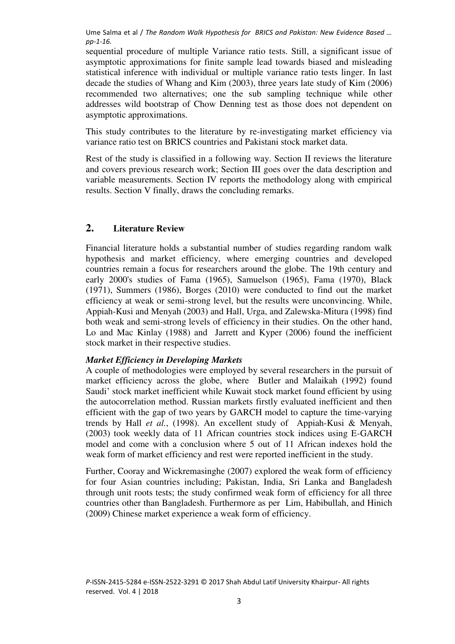sequential procedure of multiple Variance ratio tests. Still, a significant issue of asymptotic approximations for finite sample lead towards biased and misleading statistical inference with individual or multiple variance ratio tests linger. In last decade the studies of Whang and Kim (2003), three years late study of Kim (2006) recommended two alternatives; one the sub sampling technique while other addresses wild bootstrap of Chow Denning test as those does not dependent on asymptotic approximations.

This study contributes to the literature by re-investigating market efficiency via variance ratio test on BRICS countries and Pakistani stock market data.

Rest of the study is classified in a following way. Section II reviews the literature and covers previous research work; Section III goes over the data description and variable measurements. Section IV reports the methodology along with empirical results. Section V finally, draws the concluding remarks.

## **2. Literature Review**

Financial literature holds a substantial number of studies regarding random walk hypothesis and market efficiency, where emerging countries and developed countries remain a focus for researchers around the globe. The 19th century and early 2000's studies of Fama (1965), Samuelson (1965), Fama (1970), Black (1971), Summers (1986), Borges (2010) were conducted to find out the market efficiency at weak or semi-strong level, but the results were unconvincing. While, Appiah-Kusi and Menyah (2003) and Hall, Urga, and Zalewska-Mitura (1998) find both weak and semi-strong levels of efficiency in their studies. On the other hand, Lo and Mac Kinlay (1988) and Jarrett and Kyper (2006) found the inefficient stock market in their respective studies.

## *Market Efficiency in Developing Markets*

A couple of methodologies were employed by several researchers in the pursuit of market efficiency across the globe, where Butler and Malaikah (1992) found Saudi' stock market inefficient while Kuwait stock market found efficient by using the autocorrelation method. Russian markets firstly evaluated inefficient and then efficient with the gap of two years by GARCH model to capture the time-varying trends by Hall *et al.*, (1998). An excellent study of Appiah-Kusi & Menyah, (2003) took weekly data of 11 African countries stock indices using E-GARCH model and come with a conclusion where 5 out of 11 African indexes hold the weak form of market efficiency and rest were reported inefficient in the study.

Further, Cooray and Wickremasinghe (2007) explored the weak form of efficiency for four Asian countries including; Pakistan, India, Sri Lanka and Bangladesh through unit roots tests; the study confirmed weak form of efficiency for all three countries other than Bangladesh. Furthermore as per Lim, Habibullah, and Hinich (2009) Chinese market experience a weak form of efficiency.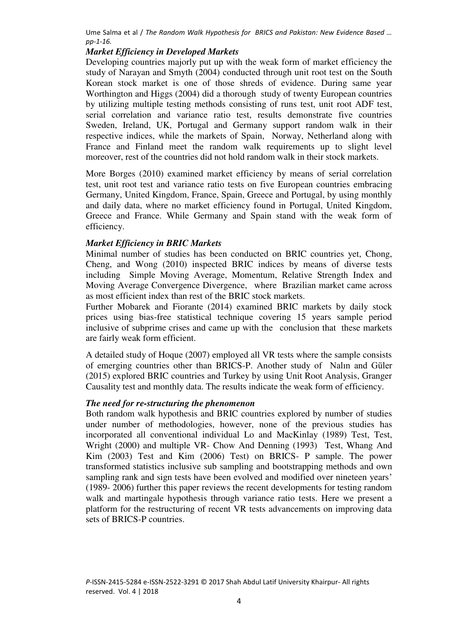# *Market Efficiency in Developed Markets*

Developing countries majorly put up with the weak form of market efficiency the study of Narayan and Smyth (2004) conducted through unit root test on the South Korean stock market is one of those shreds of evidence. During same year Worthington and Higgs (2004) did a thorough study of twenty European countries by utilizing multiple testing methods consisting of runs test, unit root ADF test, serial correlation and variance ratio test, results demonstrate five countries Sweden, Ireland, UK, Portugal and Germany support random walk in their respective indices, while the markets of Spain, Norway, Netherland along with France and Finland meet the random walk requirements up to slight level moreover, rest of the countries did not hold random walk in their stock markets.

More Borges (2010) examined market efficiency by means of serial correlation test, unit root test and variance ratio tests on five European countries embracing Germany, United Kingdom, France, Spain, Greece and Portugal, by using monthly and daily data, where no market efficiency found in Portugal, United Kingdom, Greece and France. While Germany and Spain stand with the weak form of efficiency.

## *Market Efficiency in BRIC Markets*

Minimal number of studies has been conducted on BRIC countries yet, Chong, Cheng, and Wong (2010) inspected BRIC indices by means of diverse tests including Simple Moving Average, Momentum, Relative Strength Index and Moving Average Convergence Divergence," where Brazilian market came across as most efficient index than rest of the BRIC stock markets.

Further Mobarek and Fiorante (2014) examined BRIC markets by daily stock prices using bias-free statistical technique covering 15 years sample period inclusive of subprime crises and came up with the conclusion that these markets are fairly weak form efficient."

A detailed study of Hoque (2007) employed all VR tests where the sample consists of emerging countries other than BRICS-P. Another study of Nalın and Güler (2015) explored BRIC countries and Turkey by using Unit Root Analysis, Granger Causality test and monthly data. The results indicate the weak form of efficiency.

## *The need for re-structuring the phenomenon*

Both random walk hypothesis and BRIC countries explored by number of studies under number of methodologies, however, none of the previous studies has incorporated all conventional individual Lo and MacKinlay (1989) Test, Test, Wright (2000) and multiple VR- Chow And Denning (1993) Test, Whang And Kim (2003) Test and Kim (2006) Test) on BRICS- P sample. The power transformed statistics inclusive sub sampling and bootstrapping methods and own sampling rank and sign tests have been evolved and modified over nineteen years' (1989- 2006) further this paper reviews the recent developments for testing random walk and martingale hypothesis through variance ratio tests. Here we present a platform for the restructuring of recent VR tests advancements on improving data sets of BRICS-P countries.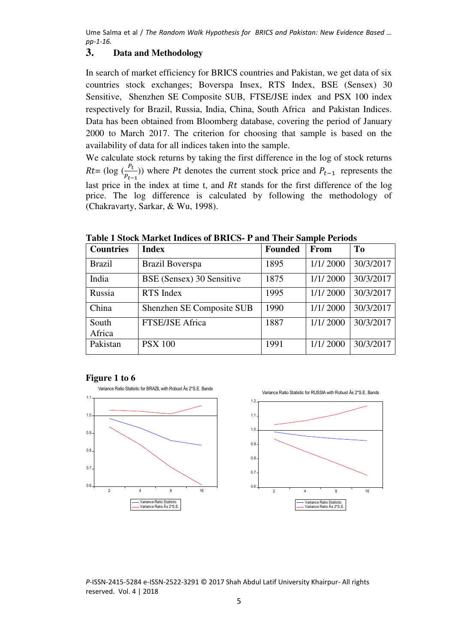# **3. Data and Methodology**

In search of market efficiency for BRICS countries and Pakistan, we get data of six countries stock exchanges; Boverspa Insex, RTS Index, BSE (Sensex) 30 Sensitive, [Shenzhen SE Composite SUB, FTSE/JSE index a](https://en.wikipedia.org/wiki/Shanghai_Stock_Exchange)nd PSX 100 index respectively for Brazil, Russia, India, China, South Africa and Pakistan Indices. Data has been obtained from Bloomberg database, covering the period of January 2000 to March 2017. The criterion for choosing that sample is based on the availability of data for all indices taken into the sample.

We calculate stock returns by taking the first difference in the log of stock returns Rt= (log  $\left(\frac{P_t}{P_{t-1}}\right)$ ) where Pt denotes the current stock price and  $P_{t-1}$  represents the last price in the index at time t, and  $Rt$  stands for the first difference of the log price. The log difference is calculated by following the methodology of (Chakravarty, Sarkar, & Wu, 1998).

| <b>Countries</b> | <b>Index</b>              | <b>Founded</b> | From     | T <sub>0</sub> |
|------------------|---------------------------|----------------|----------|----------------|
| <b>Brazil</b>    | Brazil Boverspa           | 1895           | 1/1/2000 | 30/3/2017      |
| India            | BSE (Sensex) 30 Sensitive | 1875           | 1/1/2000 | 30/3/2017      |
| Russia           | RTS Index                 | 1995           | 1/1/2000 | 30/3/2017      |
| China            | Shenzhen SE Composite SUB | 1990           | 1/1/2000 | 30/3/2017      |
| South<br>Africa  | FTSE/JSE Africa           | 1887           | 1/1/2000 | 30/3/2017      |
| Pakistan         | <b>PSX 100</b>            | 1991           | 1/1/2000 | 30/3/2017      |

**Table 1 Stock Market Indices of BRICS- P and Their Sample Periods** 

#### **Figure 1 to 6**

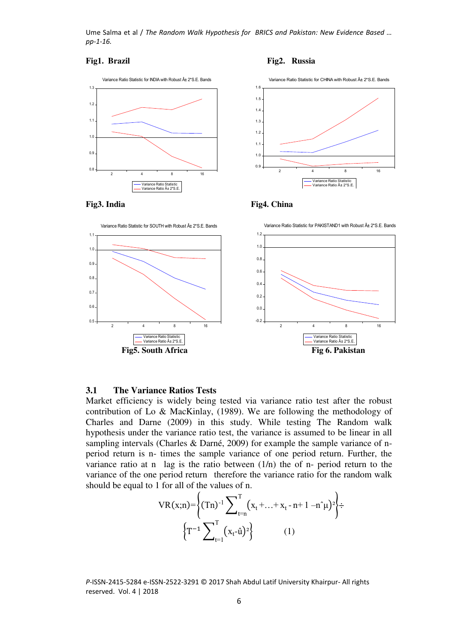









#### **3.1 The Variance Ratios Tests**

Market efficiency is widely being tested via variance ratio test after the robust contribution of Lo & MacKinlay, (1989). We are following the methodology of Charles and Darne (2009) in this study. While testing The Random walk hypothesis under the variance ratio test, the variance is assumed to be linear in all sampling intervals (Charles & Darné, 2009) for example the sample variance of nperiod return is n- times the sample variance of one period return. Further, the variance ratio at n  $\log$  is the ratio between  $(1/n)$  the of n- period return to the variance of the one period return" therefore the variance ratio for the random walk should be equal to 1 for all of the values of n.

$$
VR(x;n) = \left\{ (Tn)^{-1} \sum_{t=n}^{T} (x_t + ... + x_t - n + 1 - n^2 \mu)^2 \right\} \div \left\{ T^{-1} \sum_{t=1}^{T} (x_t - \hat{u})^2 \right\} \tag{1}
$$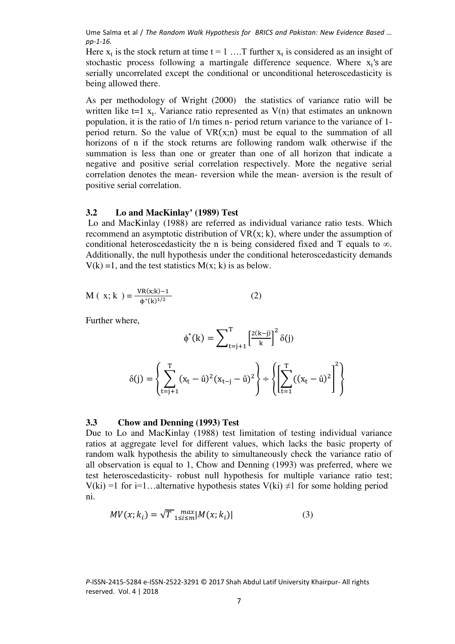Here  $x_t$  is the stock return at time  $t = 1$  .... T further  $x_t$  is considered as an insight of stochastic process following a martingale difference sequence. Where  $x_t$ 's are serially uncorrelated except the conditional or unconditional heteroscedasticity is being allowed there.

As per methodology of Wright (2000) the statistics of variance ratio will be written like  $t=1$   $x_t$ . Variance ratio represented as  $V(n)$  that estimates an unknown population, it is the ratio of 1/n times n- period return variance to the variance of 1 period return. So the value of  $VR(x;n)$  must be equal to the summation of all horizons of n if the stock returns are following random walk otherwise if the summation is less than one or greater than one of all horizon that indicate a negative and positive serial correlation respectively. More the negative serial correlation denotes the mean- reversion while the mean- aversion is the result of positive serial correlation.

#### **3.2 Lo and MacKinlay' (1989) Test**

 Lo and MacKinlay (1988) are referred as individual variance ratio tests. Which recommend an asymptotic distribution of  $VR(x; k)$ , where under the assumption of conditional heteroscedasticity the n is being considered fixed and T equals to  $\infty$ . Additionally, the null hypothesis under the conditional heteroscedasticity demands  $V(k) = 1$ , and the test statistics  $M(x; k)$  is as below.

$$
M(x;k) = \frac{VR(x;k)-1}{\phi^*(k)^{1/2}}
$$
 (2)

Further where,

$$
\phi^*(k) = \sum_{t=j+1}^{T} \left[ \frac{2(k-j)}{k} \right]^2 \delta(j)
$$

$$
\delta(j) = \left\{ \sum_{t=j+1}^{T} (x_t - \hat{u})^2 (x_{t-j} - \hat{u})^2 \right\} \div \left\{ \left[ \sum_{t=1}^{T} ((x_t - \hat{u})^2 \right]^2 \right\}
$$

#### **3.3 "Chow and Denning (1993) Test"**

Due to Lo and MacKinlay (1988) test limitation of testing individual variance ratios at aggregate level for different values, which lacks the basic property of random walk hypothesis the ability to simultaneously check the variance ratio of all observation is equal to 1, Chow and Denning (1993) was preferred, where we test heteroscedasticity- robust null hypothesis for multiple variance ratio test; V(ki) =1 for i=1…alternative hypothesis states V(ki)  $\neq$ 1 for some holding period ni.

$$
MV(x; k_i) = \sqrt{T} \max_{1 \le i \le m} |M(x; k_i)| \tag{3}
$$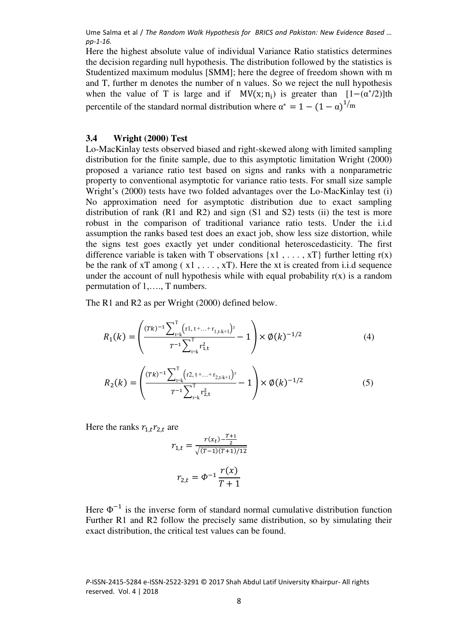Here the highest absolute value of individual Variance Ratio statistics determines the decision regarding null hypothesis. The distribution followed by the statistics is Studentized maximum modulus [SMM]; here the degree of freedom shown with m and T, further m denotes the number of n values. So we reject the null hypothesis when the value of T is large and if  $MV(x; n_i)$  is greater than  $[1-(\alpha^*/2)]$ th percentile of the standard normal distribution where  $\alpha^* = 1 - (1 - \alpha)^{1/m}$ 

## **3.4 Wright (2000) Test**

Lo-MacKinlay tests observed biased and right-skewed along with limited sampling distribution for the finite sample, due to this asymptotic limitation Wright (2000) proposed a variance ratio test based on signs and ranks with a nonparametric property to conventional asymptotic for variance ratio tests. For small size sample Wright's (2000) tests have two folded advantages over the Lo-MacKinlay test (i) No approximation need for asymptotic distribution due to exact sampling distribution of rank (R1 and R2) and sign (S1 and S2) tests (ii) the test is more robust in the comparison of traditional variance ratio tests. Under the i.i.d assumption the ranks based test does an exact job, show less size distortion, while the signs test goes exactly yet under conditional heteroscedasticity. The first difference variable is taken with T observations  $\{x1, \ldots, xT\}$  further letting  $r(x)$ be the rank of  $xT$  among ( $x1, \ldots, xT$ ). Here the xt is created from i.i.d sequence under the account of null hypothesis while with equal probability  $r(x)$  is a random permutation of 1,…., T numbers.

The R1 and R2 as per Wright (2000) defined below.

$$
R_1(k) = \left(\frac{(Tk)^{-1} \sum_{t=k}^{T} (r_1, t + ... + r_{1,t+k+1})^2}{T^{-1} \sum_{t=k}^{T} r_{1,t}^2} - 1\right) \times \emptyset(k)^{-1/2}
$$
(4)

$$
R_2(k) = \left(\frac{(rk)^{-1} \sum_{t=k}^{T} (r2, t + ... + r_{2,t+k+1})^2}{r^{-1} \sum_{t=k}^{T} r_{2,t}^2} - 1\right) \times \emptyset(k)^{-1/2}
$$
(5)

Here the ranks  $r_{1,t}r_{2,t}$  are

$$
r_{1,t} = \frac{r(x_t) - \frac{T+1}{2}}{\sqrt{(T-1)(T+1)/12}}
$$

$$
r_{2,t} = \Phi^{-1} \frac{r(x)}{T+1}
$$

Here  $\Phi^{-1}$  is the inverse form of standard normal cumulative distribution function Further R1 and R2 follow the precisely same distribution, so by simulating their exact distribution, the critical test values can be found.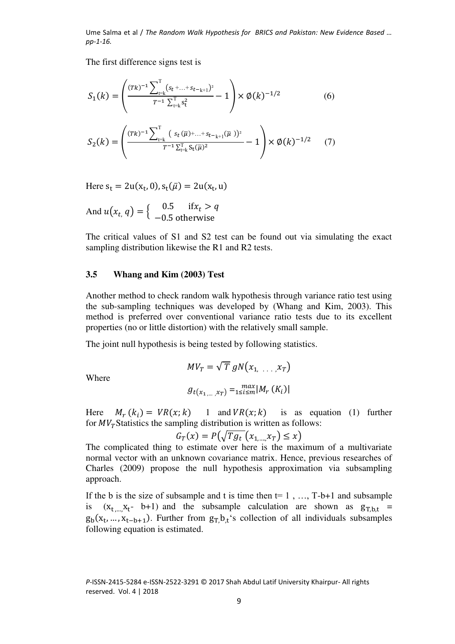The first difference signs test is

$$
S_1(k) = \left(\frac{(Tk)^{-1} \sum_{t=k}^{T} (s_t + ... + s_{t-k+1})^2}{T^{-1} \sum_{t=k}^{T} s_t^2} - 1\right) \times \emptyset(k)^{-1/2}
$$
(6)

$$
S_2(k) = \left(\frac{(Tk)^{-1} \sum_{t=k}^{T} (s_t(\overline{\mu}) + ... + s_{t-k+1}(\overline{\mu}))^2}{T^{-1} \sum_{t=k}^{T} S_t(\overline{\mu})^2} - 1\right) \times \emptyset(k)^{-1/2} \tag{7}
$$

Here  $s_t = 2u(x_t, 0), s_t(\bar{\mu}) = 2u(x_t, u)$ 

And 
$$
u(x_t, q) = \begin{cases} 0.5 & \text{if } x_t > q \\ -0.5 & \text{otherwise} \end{cases}
$$

The critical values of S1 and S2 test can be found out via simulating the exact sampling distribution likewise the R1 and R2 tests.

### **3.5 Whang and Kim (2003) Test**

Another method to check random walk hypothesis through variance ratio test using the sub-sampling techniques was developed by (Whang and Kim, 2003). This method is preferred over conventional variance ratio tests due to its excellent properties (no or little distortion) with the relatively small sample.

The joint null hypothesis is being tested by following statistics.

Where

$$
MV_T = \sqrt{T} gN(x_{1, \ldots, x_T})
$$

$$
g_{t(x_{1, \ldots, x_T})} = \max_{1 \le i \le m} |M_T(K_i)|
$$

Here  $M_r(k_i) = VR(x; k)$  1 and  $VR(x; k)$  is as equation (1) further for  $MV_T$ Statistics the sampling distribution is written as follows:

$$
G_T(x) = P\left(\sqrt{Tg_t}\left(x_{1,\dots,x_T}\right) \leq x\right)
$$

The complicated thing to estimate over here is the maximum of a multivariate normal vector with an unknown covariance matrix. Hence, previous researches of Charles (2009) propose the null hypothesis approximation via subsampling approach.

If the b is the size of subsample and t is time then  $t=1, ..., T-b+1$  and subsample is  $(x_t, ..., x_t - b+1)$  and the subsample calculation are shown as  $g_{T,b,t}$  =  $g_b(x_t, ..., x_{t-b+1})$ . Further from  $g_T, b_t$ 's collection of all individuals subsamples following equation is estimated.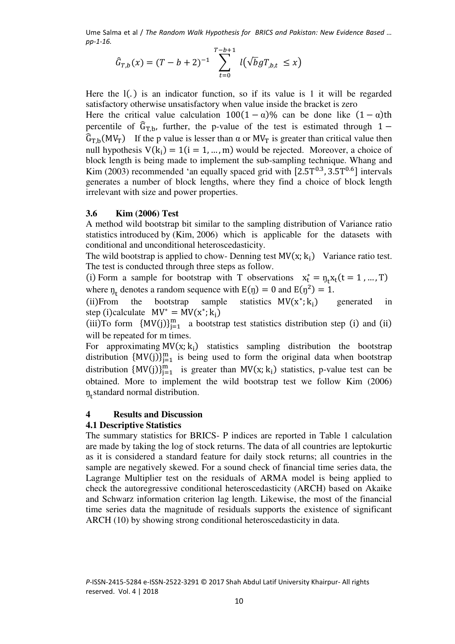$$
\hat{G}_{T,b}(x) = (T - b + 2)^{-1} \sum_{t=0}^{T-b+1} l(\sqrt{b}gT_{,b,t} \leq x)
$$

Here the  $I(.)$  is an indicator function, so if its value is 1 it will be regarded satisfactory otherwise unsatisfactory when value inside the bracket is zero Here the critical value calculation  $100(1 - \alpha)\%$  can be done like  $(1 - \alpha)$ th percentile of  $\hat{G}_{T,b}$ , further, the p-value of the test is estimated through 1 −  $\hat{G}_{T,b}(MV_T)$  If the p value is lesser than  $\alpha$  or  $MV_T$  is greater than critical value then null hypothesis  $V(k_i) = 1(i = 1, ..., m)$  would be rejected. Moreover, a choice of block length is being made to implement the sub-sampling technique. Whang and Kim (2003) recommended 'an equally spaced grid with  $[2.5T^{0.3}, 3.5T^{0.6}]$  intervals generates a number of block lengths, where they find a choice of block length irrelevant with size and power properties.

### **3.6 Kim (2006) Test**

A method wild bootstrap bit similar to the sampling distribution of Variance ratio statistics introduced by (Kim, 2006) which is applicable for the datasets with conditional and unconditional heteroscedasticity.

The wild bootstrap is applied to chow- Denning test  $MV(x; k_i)$  Variance ratio test. The test is conducted through three steps as follow.

(i) Form a sample for bootstrap with T observations  $x_t^* = \eta_t x_t (t = 1, ..., T)$ where  $n_t$  denotes a random sequence with  $E(\eta) = 0$  and  $E(\eta^2) = 1$ .

(ii)From the bootstrap sample statistics  $MV(x^*; k_i)$ generated in step (i)calculate  $MV^* = MV(x^*; k_i)$ 

(iii)To form  $\{MV(j)\}_{j=1}^m$  a bootstrap test statistics distribution step (i) and (ii) will be repeated for m times.

For approximating  $MV(x; k_i)$  statistics sampling distribution the bootstrap distribution  $\{MV(j)\}_{j=1}^m$  is being used to form the original data when bootstrap distribution  $\{MV(j)\}_{j=1}^m$  is greater than  $MV(x; k_i)$  statistics, p-value test can be obtained. More to implement the wild bootstrap test we follow Kim (2006)  $\eta_t$ standard normal distribution.

#### **4 Results and Discussion**

#### **4.1 Descriptive Statistics**

The summary statistics for BRICS- P indices are reported in Table 1 calculation are made by taking the log of stock returns. The data of all countries are leptokurtic as it is considered a standard feature for daily stock returns; all countries in the sample are negatively skewed. For a sound check of financial time series data, the Lagrange Multiplier test on the residuals of ARMA model is being applied to check the autoregressive conditional heteroscedasticity (ARCH) based on Akaike and Schwarz information criterion lag length. Likewise, the most of the financial time series data the magnitude of residuals supports the existence of significant ARCH (10) by showing strong conditional heteroscedasticity in data.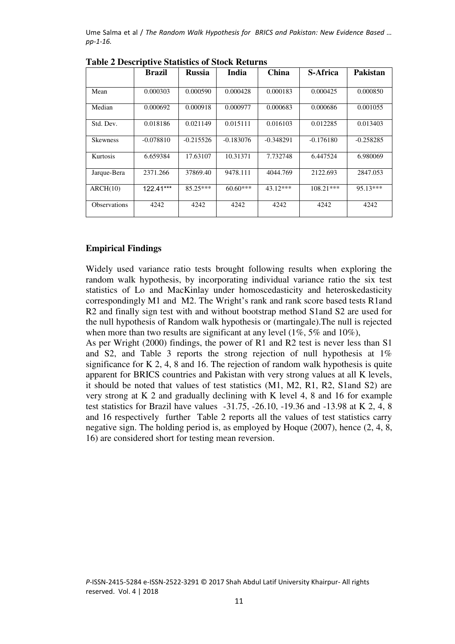|                     | <b>Brazil</b> | <b>Russia</b> | <b>India</b> | <b>China</b> | <b>S-Africa</b> | Pakistan    |
|---------------------|---------------|---------------|--------------|--------------|-----------------|-------------|
| Mean                | 0.000303      | 0.000590      | 0.000428     | 0.000183     | 0.000425        | 0.000850    |
| Median              | 0.000692      | 0.000918      | 0.000977     | 0.000683     | 0.000686        | 0.001055    |
| Std. Dev.           | 0.018186      | 0.021149      | 0.015111     | 0.016103     | 0.012285        | 0.013403    |
| <b>Skewness</b>     | $-0.078810$   | $-0.215526$   | $-0.183076$  | $-0.348291$  | $-0.176180$     | $-0.258285$ |
| Kurtosis            | 6.659384      | 17.63107      | 10.31371     | 7.732748     | 6.447524        | 6.980069    |
| Jarque-Bera         | 2371.266      | 37869.40      | 9478.111     | 4044.769     | 2122.693        | 2847.053    |
| ARCH(10)            | 122.41***     | $85.25***$    | $60.60***$   | $43.12***$   | $108.21***$     | 95.13***    |
| <b>Observations</b> | 4242          | 4242          | 4242         | 4242         | 4242            | 4242        |

**Table 2 Descriptive Statistics of Stock Returns** 

#### **Empirical Findings**

Widely used variance ratio tests brought following results when exploring the random walk hypothesis, by incorporating individual variance ratio the six test statistics of Lo and MacKinlay under homoscedasticity and heteroskedasticity correspondingly M1 and M2. The Wright's rank and rank score based tests R1and R2 and finally sign test with and without bootstrap method S1and S2 are used for the null hypothesis of Random walk hypothesis or (martingale).The null is rejected when more than two results are significant at any level (1%, 5% and 10%),

As per Wright (2000) findings, the power of R1 and R2 test is never less than S1 and S2, and Table 3 reports the strong rejection of null hypothesis at 1% significance for K 2, 4, 8 and 16. The rejection of random walk hypothesis is quite apparent for BRICS countries and Pakistan with very strong values at all K levels, it should be noted that values of test statistics (M1, M2, R1, R2, S1and S2) are very strong at K 2 and gradually declining with K level 4, 8 and 16 for example test statistics for Brazil have values -31.75, -26.10, -19.36 and -13.98 at K 2, 4, 8 and 16 respectively further Table 2 reports all the values of test statistics carry negative sign. The holding period is, as employed by Hoque (2007), hence (2, 4, 8, 16) are considered short for testing mean reversion.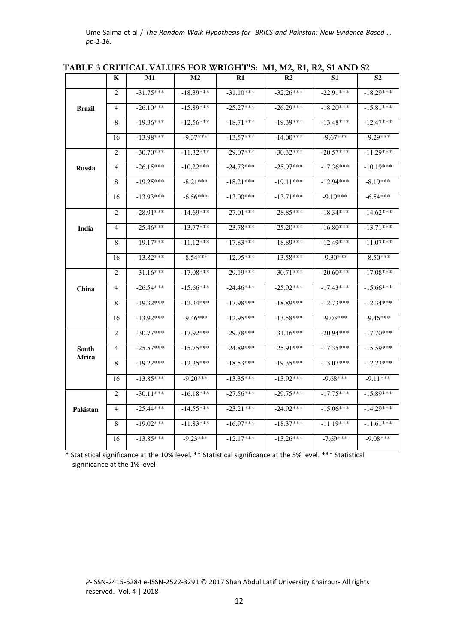|               | K              | M1          | $\bf M2$    | R1          | R <sub>2</sub> | S1          | S <sub>2</sub> |
|---------------|----------------|-------------|-------------|-------------|----------------|-------------|----------------|
|               | 2              | $-31.75***$ | $-18.39***$ | $-31.10***$ | $-32.26***$    | $-22.91***$ | $-18.29***$    |
| Brazil        | 4              | $-26.10***$ | $-15.89***$ | $-25.27***$ | $-26.29***$    | $-18.20***$ | $-15.81***$    |
|               | 8              | $-19.36***$ | $-12.56***$ | $-18.71***$ | $-19.39***$    | $-13.48***$ | $-12.47***$    |
|               | 16             | $-13.98***$ | $-9.37***$  | $-13.57***$ | $-14.00***$    | $-9.67***$  | $-9.29***$     |
|               | 2              | $-30.70***$ | $-11.32***$ | $-29.07***$ | $-30.32***$    | $-20.57***$ | $-11.29***$    |
| <b>Russia</b> | 4              | $-26.15***$ | $-10.22***$ | $-24.73***$ | $-25.97***$    | $-17.36***$ | $-10.19***$    |
|               | 8              | $-19.25***$ | $-8.21***$  | $-18.21***$ | $-19.11***$    | $-12.94***$ | $-8.19***$     |
|               | 16             | $-13.93***$ | $-6.56***$  | $-13.00***$ | $-13.71***$    | $-9.19***$  | $-6.54***$     |
|               | 2              | $-28.91***$ | $-14.69***$ | $-27.01***$ | $-28.85***$    | $-18.34***$ | $-14.62***$    |
| India         | 4              | $-25.46***$ | $-13.77***$ | $-23.78***$ | $-25.20***$    | $-16.80***$ | $-13.71***$    |
|               | 8              | $-19.17***$ | $-11.12***$ | $-17.83***$ | $-18.89***$    | $-12.49***$ | $-11.07***$    |
|               | 16             | $-13.82***$ | $-8.54***$  | $-12.95***$ | $-13.58***$    | $-9.30***$  | $-8.50***$     |
|               | 2              | $-31.16***$ | $-17.08***$ | $-29.19***$ | $-30.71***$    | $-20.60***$ | $-17.08***$    |
| China         | $\overline{4}$ | $-26.54***$ | $-15.66***$ | $-24.46***$ | $-25.92***$    | $-17.43***$ | $-15.66***$    |
|               | 8              | $-19.32***$ | $-12.34***$ | $-17.98***$ | $-18.89***$    | $-12.73***$ | $-12.34***$    |
|               | 16             | $-13.92***$ | $-9.46***$  | $-12.95***$ | $-13.58***$    | $-9.03***$  | $-9.46***$     |
|               | 2              | $-30.77***$ | $-17.92***$ | $-29.78***$ | $-31.16***$    | $-20.94***$ | $-17.70***$    |
| South         | 4              | $-25.57***$ | $-15.75***$ | $-24.89***$ | $-25.91***$    | $-17.35***$ | $-15.59***$    |
| Africa        | 8              | $-19.22***$ | $-12.35***$ | $-18.53***$ | $-19.35***$    | $-13.07***$ | $-12.23***$    |
|               | 16             | $-13.85***$ | $-9.20***$  | $-13.35***$ | $-13.92***$    | $-9.68***$  | $-9.11***$     |
|               | 2              | $-30.11***$ | $-16.18***$ | $-27.56***$ | $-29.75***$    | $-17.75***$ | $-15.89***$    |
| Pakistan      | 4              | $-25.44***$ | $-14.55***$ | $-23.21***$ | $-24.92***$    | $-15.06***$ | $-14.29***$    |
|               | 8              | $-19.02***$ | $-11.83***$ | $-16.97***$ | $-18.37***$    | $-11.19***$ | $-11.61***$    |
|               | 16             | $-13.85***$ | $-9.23***$  | $-12.17***$ | $-13.26***$    | $-7.69***$  | $-9.08***$     |

**TABLE 3 CRITICAL VALUES FOR WRIGHT'S: M1, M2, R1, R2, S1 AND S2** 

 \* Statistical significance at the 10% level. \*\* Statistical significance at the 5% level. \*\*\* Statistical significance at the 1% level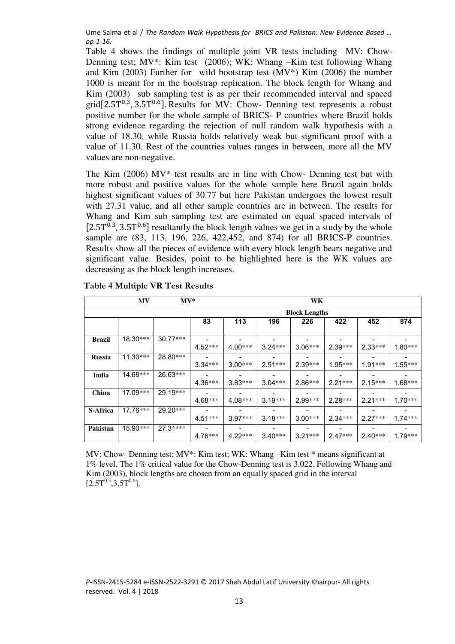Table 4 shows the findings of multiple joint VR tests including MV: Chow-Denning test;  $MV^*$ : Kim test (2006); WK: Whang –Kim test following Whang and Kim (2003) Further for wild bootstrap test  $(MV^*)$  Kim (2006) the number 1000 is meant for m the bootstrap replication. The block length for Whang and Kim (2003) sub sampling test is as per their recommended interval and spaced grid $[2.5T^{0.3}, 3.5T^{0.6}]$ . Results for MV: Chow- Denning test represents a robust positive number for the whole sample of BRICS- P countries where Brazil holds strong evidence regarding the rejection of null random walk hypothesis with a value of 18.30, while Russia holds relatively weak but significant proof with a value of 11.30. Rest of the countries values ranges in between, more all the MV values are non-negative.

The Kim  $(2006)$  MV\* test results are in line with Chow- Denning test but with more robust and positive values for the whole sample here Brazil again holds highest significant values of 30.77 but here Pakistan undergoes the lowest result with 27.31 value, and all other sample countries are in between. The results for Whang and Kim sub sampling test are estimated on equal spaced intervals of  $[2.5T^{0.3}, 3.5T^{0.6}]$  resultantly the block length values we get in a study by the whole sample are (83, 113, 196, 226, 422,452, and 874) for all BRICS-P countries. Results show all the pieces of evidence with every block length bears negative and significant value. Besides, point to be highlighted here is the WK values are decreasing as the block length increases.

|               | <b>MV</b>  | $MV*$      |           |                      | WK        |           |           |           |           |  |
|---------------|------------|------------|-----------|----------------------|-----------|-----------|-----------|-----------|-----------|--|
|               |            |            |           | <b>Block Lengths</b> |           |           |           |           |           |  |
|               |            |            | 83        | 113                  | 196       | 226       | 422       | 452       | 874       |  |
| <b>Brazil</b> | 18.30***   | $30.77***$ | $4.52***$ | $4.00***$            | $3.24***$ | $3.06***$ | $2.39***$ | $2.33***$ | $1.80***$ |  |
| <b>Russia</b> | $11.30***$ | 28.80***   | $3.34***$ | $3.00***$            | $2.51***$ | $2.39***$ | $1.95***$ | $1.91***$ | $1.55***$ |  |
| India         | 14.68***   | 26.63***   | $4.36***$ | $3.83***$            | $3.04***$ | $2.86***$ | $2.21***$ | $2.15***$ | $1.68***$ |  |
| China         | 17.09***   | 29.19***   | $4.68***$ | $4.08***$            | $3.19***$ | $2.99***$ | $2.28***$ | $2.21***$ | $1.70***$ |  |
| S-Africa      | 17.76***   | 29.20***   | $4.51***$ | $3.97***$            | $3.18***$ | $3.00***$ | $2.34***$ | $2.27***$ | $1.74***$ |  |
| Pakistan      | 15.90***   | 27.31 ***  | $4.76***$ | $4.22***$            | $3.40***$ | $3.21***$ | $2.47***$ | $2.40***$ | $1.79***$ |  |

 **Table 4 Multiple VR Test Results**

MV: Chow- Denning test; MV\*: Kim test; WK: Whang –Kim test \* means significant at 1% level. The 1% critical value for the Chow-Denning test is 3.022. Following Whang and Kim (2003), block lengths are chosen from an equally spaced grid in the interval  $[2.5T^{0.3}, 3.5T^{0.6}].$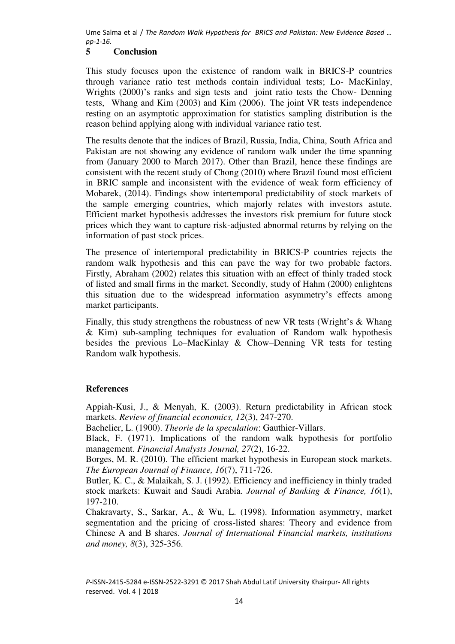# **5 Conclusion**

This study focuses upon the existence of random walk in BRICS-P countries through variance ratio test methods contain individual tests; Lo- MacKinlay, Wrights (2000)'s ranks and sign tests and joint ratio tests the Chow- Denning tests, Whang and Kim (2003) and Kim (2006). The joint VR tests independence resting on an asymptotic approximation for statistics sampling distribution is the reason behind applying along with individual variance ratio test.

The results denote that the indices of Brazil, Russia, India, China, South Africa and Pakistan are not showing any evidence of random walk under the time spanning from (January 2000 to March 2017). Other than Brazil, hence these findings are consistent with the recent study of Chong (2010) where Brazil found most efficient in BRIC sample and inconsistent with the evidence of weak form efficiency of Mobarek, (2014). Findings show intertemporal predictability of stock markets of the sample emerging countries, which majorly relates with investors astute. Efficient market hypothesis addresses the investors risk premium for future stock prices which they want to capture risk-adjusted abnormal returns by relying on the information of past stock prices.

The presence of intertemporal predictability in BRICS-P countries rejects the random walk hypothesis and this can pave the way for two probable factors. Firstly, Abraham (2002) relates this situation with an effect of thinly traded stock of listed and small firms in the market. Secondly, study of Hahm (2000) enlightens this situation due to the widespread information asymmetry's effects among market participants.

Finally, this study strengthens the robustness of new VR tests (Wright's & Whang & Kim) sub-sampling techniques for evaluation of Random walk hypothesis besides the previous Lo–MacKinlay & Chow–Denning VR tests for testing Random walk hypothesis.

# **References**

Appiah-Kusi, J., & Menyah, K. (2003). Return predictability in African stock markets. *Review of financial economics, 12*(3), 247-270.

Bachelier, L. (1900). *Theorie de la speculation*: Gauthier-Villars.

Black, F. (1971). Implications of the random walk hypothesis for portfolio management. *Financial Analysts Journal, 27*(2), 16-22.

Borges, M. R. (2010). The efficient market hypothesis in European stock markets. *The European Journal of Finance, 16*(7), 711-726.

Butler, K. C., & Malaikah, S. J. (1992). Efficiency and inefficiency in thinly traded stock markets: Kuwait and Saudi Arabia. *Journal of Banking & Finance, 16*(1), 197-210.

Chakravarty, S., Sarkar, A., & Wu, L. (1998). Information asymmetry, market segmentation and the pricing of cross-listed shares: Theory and evidence from Chinese A and B shares. *Journal of International Financial markets, institutions and money, 8*(3), 325-356.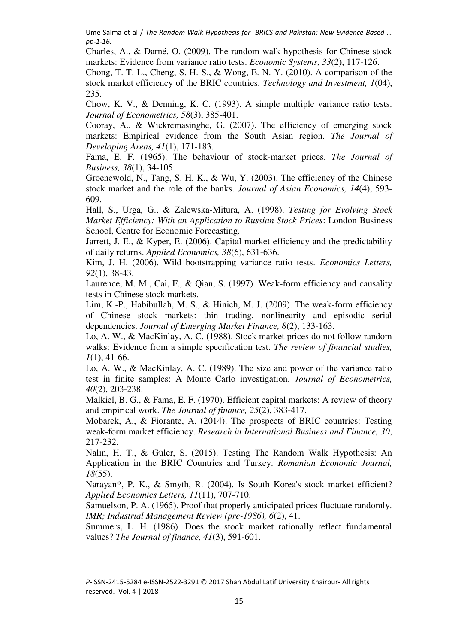Charles, A., & Darné, O. (2009). The random walk hypothesis for Chinese stock markets: Evidence from variance ratio tests. *Economic Systems, 33*(2), 117-126.

Chong, T. T.-L., Cheng, S. H.-S., & Wong, E. N.-Y. (2010). A comparison of the stock market efficiency of the BRIC countries. *Technology and Investment, 1*(04), 235.

Chow, K. V., & Denning, K. C. (1993). A simple multiple variance ratio tests. *Journal of Econometrics, 58*(3), 385-401.

Cooray, A., & Wickremasinghe, G. (2007). The efficiency of emerging stock markets: Empirical evidence from the South Asian region. *The Journal of Developing Areas, 41*(1), 171-183.

Fama, E. F. (1965). The behaviour of stock-market prices. *The Journal of Business, 38*(1), 34-105.

Groenewold, N., Tang, S. H. K., & Wu, Y. (2003). The efficiency of the Chinese stock market and the role of the banks. *Journal of Asian Economics, 14*(4), 593- 609.

Hall, S., Urga, G., & Zalewska-Mitura, A. (1998). *Testing for Evolving Stock Market Efficiency: With an Application to Russian Stock Prices*: London Business School, Centre for Economic Forecasting.

Jarrett, J. E., & Kyper, E. (2006). Capital market efficiency and the predictability of daily returns. *Applied Economics, 38*(6), 631-636.

Kim, J. H. (2006). Wild bootstrapping variance ratio tests. *Economics Letters, 92*(1), 38-43.

Laurence, M. M., Cai, F., & Qian, S. (1997). Weak-form efficiency and causality tests in Chinese stock markets.

Lim, K.-P., Habibullah, M. S., & Hinich, M. J. (2009). The weak-form efficiency of Chinese stock markets: thin trading, nonlinearity and episodic serial dependencies. *Journal of Emerging Market Finance, 8*(2), 133-163.

Lo, A. W., & MacKinlay, A. C. (1988). Stock market prices do not follow random walks: Evidence from a simple specification test. *The review of financial studies, 1*(1), 41-66.

Lo, A. W., & MacKinlay, A. C. (1989). The size and power of the variance ratio test in finite samples: A Monte Carlo investigation. *Journal of Econometrics, 40*(2), 203-238.

Malkiel, B. G., & Fama, E. F. (1970). Efficient capital markets: A review of theory and empirical work. *The Journal of finance, 25*(2), 383-417.

Mobarek, A., & Fiorante, A. (2014). The prospects of BRIC countries: Testing weak-form market efficiency. *Research in International Business and Finance, 30*, 217-232.

Nalın, H. T., & Güler, S. (2015). Testing The Random Walk Hypothesis: An Application in the BRIC Countries and Turkey. *Romanian Economic Journal, 18*(55).

Narayan\*, P. K., & Smyth, R. (2004). Is South Korea's stock market efficient? *Applied Economics Letters, 11*(11), 707-710.

Samuelson, P. A. (1965). Proof that properly anticipated prices fluctuate randomly. *IMR; Industrial Management Review (pre-1986), 6*(2), 41.

Summers, L. H. (1986). Does the stock market rationally reflect fundamental values? *The Journal of finance, 41*(3), 591-601.